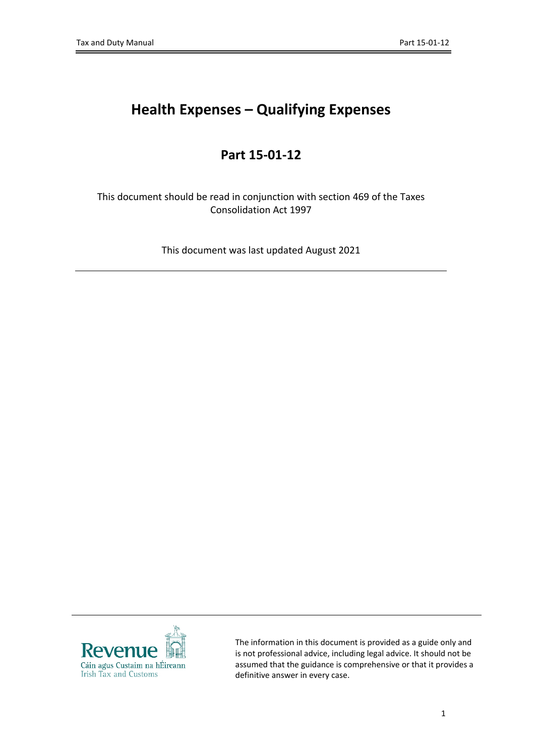# **Health Expenses – Qualifying Expenses**

# **Part 15-01-12**

This document should be read in conjunction with section 469 of the Taxes Consolidation Act 1997

This document was last updated August 2021



The information in this document is provided as a guide only and is not professional advice, including legal advice. It should not be assumed that the guidance is comprehensive or that it provides a definitive answer in every case.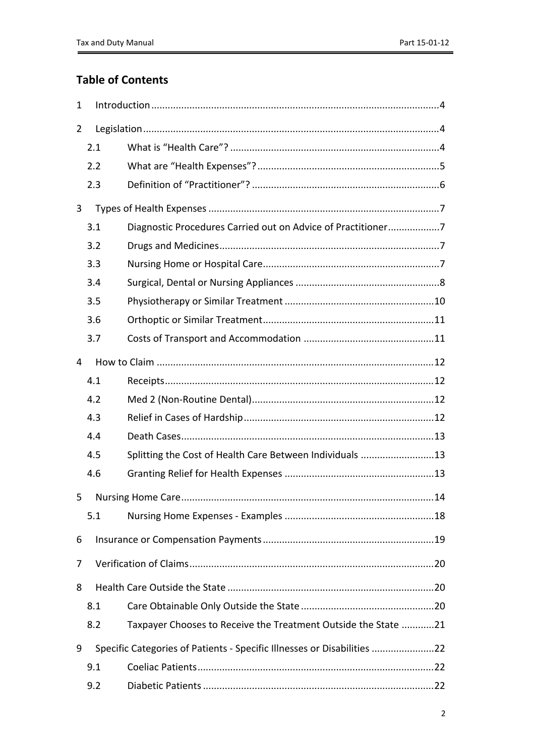# **Table of Contents**

| 1              |     |                                                                         |  |  |  |  |  |
|----------------|-----|-------------------------------------------------------------------------|--|--|--|--|--|
| $\overline{2}$ |     |                                                                         |  |  |  |  |  |
|                | 2.1 |                                                                         |  |  |  |  |  |
|                | 2.2 |                                                                         |  |  |  |  |  |
|                | 2.3 |                                                                         |  |  |  |  |  |
| 3              |     |                                                                         |  |  |  |  |  |
|                | 3.1 | Diagnostic Procedures Carried out on Advice of Practitioner7            |  |  |  |  |  |
|                | 3.2 |                                                                         |  |  |  |  |  |
|                | 3.3 |                                                                         |  |  |  |  |  |
|                | 3.4 |                                                                         |  |  |  |  |  |
|                | 3.5 |                                                                         |  |  |  |  |  |
|                | 3.6 |                                                                         |  |  |  |  |  |
|                | 3.7 |                                                                         |  |  |  |  |  |
| 4              |     |                                                                         |  |  |  |  |  |
|                | 4.1 |                                                                         |  |  |  |  |  |
|                | 4.2 |                                                                         |  |  |  |  |  |
|                | 4.3 |                                                                         |  |  |  |  |  |
|                | 4.4 |                                                                         |  |  |  |  |  |
|                | 4.5 | Splitting the Cost of Health Care Between Individuals 13                |  |  |  |  |  |
|                | 4.6 |                                                                         |  |  |  |  |  |
| 5              |     | <b>Nursing Home Care</b><br>.14                                         |  |  |  |  |  |
|                | 5.1 |                                                                         |  |  |  |  |  |
| 6              |     |                                                                         |  |  |  |  |  |
| 7              |     |                                                                         |  |  |  |  |  |
| 8              |     |                                                                         |  |  |  |  |  |
|                | 8.1 |                                                                         |  |  |  |  |  |
|                | 8.2 | Taxpayer Chooses to Receive the Treatment Outside the State 21          |  |  |  |  |  |
| 9              |     | Specific Categories of Patients - Specific Illnesses or Disabilities 22 |  |  |  |  |  |
|                | 9.1 |                                                                         |  |  |  |  |  |
|                | 9.2 |                                                                         |  |  |  |  |  |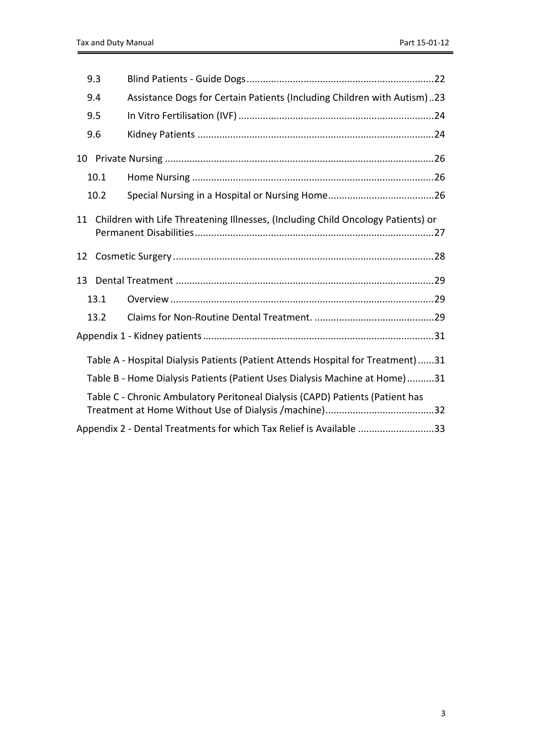| 9.3  |                                                                                     |  |
|------|-------------------------------------------------------------------------------------|--|
| 9.4  | Assistance Dogs for Certain Patients (Including Children with Autism)23             |  |
| 9.5  |                                                                                     |  |
| 9.6  |                                                                                     |  |
|      |                                                                                     |  |
| 10.1 |                                                                                     |  |
| 10.2 |                                                                                     |  |
|      | 11 Children with Life Threatening Illnesses, (Including Child Oncology Patients) or |  |
| 12   |                                                                                     |  |
| 13   |                                                                                     |  |
| 13.1 |                                                                                     |  |
| 13.2 |                                                                                     |  |
|      |                                                                                     |  |
|      | Table A - Hospital Dialysis Patients (Patient Attends Hospital for Treatment)31     |  |
|      | Table B - Home Dialysis Patients (Patient Uses Dialysis Machine at Home)31          |  |
|      | Table C - Chronic Ambulatory Peritoneal Dialysis (CAPD) Patients (Patient has       |  |
|      | Appendix 2 - Dental Treatments for which Tax Relief is Available 33                 |  |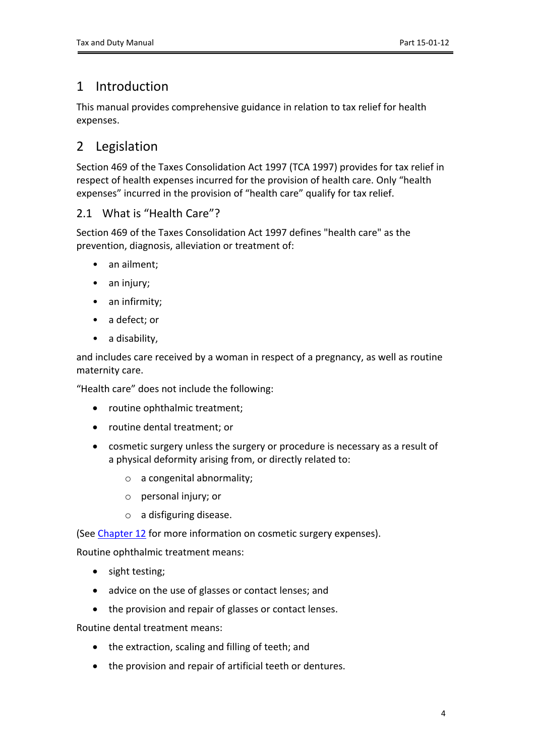# <span id="page-3-0"></span>1 Introduction

This manual provides comprehensive guidance in relation to tax relief for health expenses.

# <span id="page-3-1"></span>2 Legislation

Section 469 of the Taxes Consolidation Act 1997 (TCA 1997) provides for tax relief in respect of health expenses incurred for the provision of health care. Only "health expenses" incurred in the provision of "health care" qualify for tax relief.

## <span id="page-3-2"></span>2.1 What is "Health Care"?

Section 469 of the Taxes Consolidation Act 1997 defines "health care" as the prevention, diagnosis, alleviation or treatment of:

- an ailment;
- an injury;
- an infirmity;
- a defect; or
- a disability,

and includes care received by a woman in respect of a pregnancy, as well as routine maternity care.

"Health care" does not include the following:

- routine ophthalmic treatment;
- routine dental treatment; or
- cosmetic surgery unless the surgery or procedure is necessary as a result of a physical deformity arising from, or directly related to:
	- o a congenital abnormality;
	- o personal injury; or
	- o a disfiguring disease.

(See [Chapter](#page-27-0) [12](#page-27-0) for more information on cosmetic surgery expenses).

Routine ophthalmic treatment means:

- sight testing;
- advice on the use of glasses or contact lenses; and
- the provision and repair of glasses or contact lenses.

Routine dental treatment means:

- the extraction, scaling and filling of teeth; and
- the provision and repair of artificial teeth or dentures.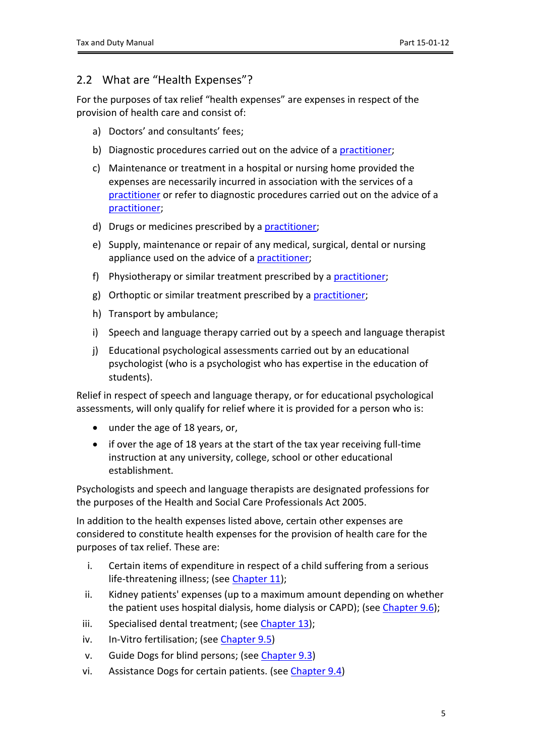## <span id="page-4-0"></span>2.2 What are "Health Expenses"?

For the purposes of tax relief "health expenses" are expenses in respect of the provision of health care and consist of:

- a) Doctors' and consultants' fees;
- b) Diagnostic procedures carried out on the advice of a [practitioner;](#page-4-1)
- c) Maintenance or treatment in a hospital or nursing home provided the expenses are necessarily incurred in association with the services of a [practitioner](#page-4-1) or refer to diagnostic procedures carried out on the advice of a [practitioner;](#page-4-1)
- d) Drugs or medicines prescribed by a [practitioner](#page-4-1);
- e) Supply, maintenance or repair of any medical, surgical, dental or nursing appliance used on the advice of a [practitioner;](#page-4-1)
- f) Physiotherapy or similar treatment prescribed by a [practitioner](#page-4-1);
- g) Orthoptic or similar treatment prescribed by a [practitioner;](#page-4-1)
- h) Transport by ambulance;
- i) Speech and language therapy carried out by a speech and language therapist
- j) Educational psychological assessments carried out by an educational psychologist (who is a psychologist who has expertise in the education of students).

Relief in respect of speech and language therapy, or for educational psychological assessments, will only qualify for relief where it is provided for a person who is:

- under the age of 18 years, or,
- if over the age of 18 years at the start of the tax year receiving full-time instruction at any university, college, school or other educational establishment.

Psychologists and speech and language therapists are designated professions for the purposes of the Health and Social Care Professionals Act 2005.

In addition to the health expenses listed above, certain other expenses are considered to constitute health expenses for the provision of health care for the purposes of tax relief. These are:

- i. Certain items of expenditure in respect of a child suffering from a serious life-threatening illness; (see [Chapter](#page-25-3) [11](#page-25-3));
- ii. Kidney patients' expenses (up to a maximum amount depending on whether the patient uses hospital dialysis, home dialysis or CAPD); (see [Chapter](#page-23-1) [9.6\)](#page-23-1);
- iii. Specialised dental treatment; (see [Chapter](#page-28-0) [13\)](#page-28-0);
- iv. In-Vitro fertilisation; (see [Chapter](#page-23-0) [9.5\)](#page-23-0)
- v. Guide Dogs for blind persons; (see [Chapter](#page-21-3) [9.3\)](#page-21-3)
- <span id="page-4-1"></span>vi. Assistance Dogs for certain patients. (see [Chapter](#page-22-0) [9.4](#page-22-0))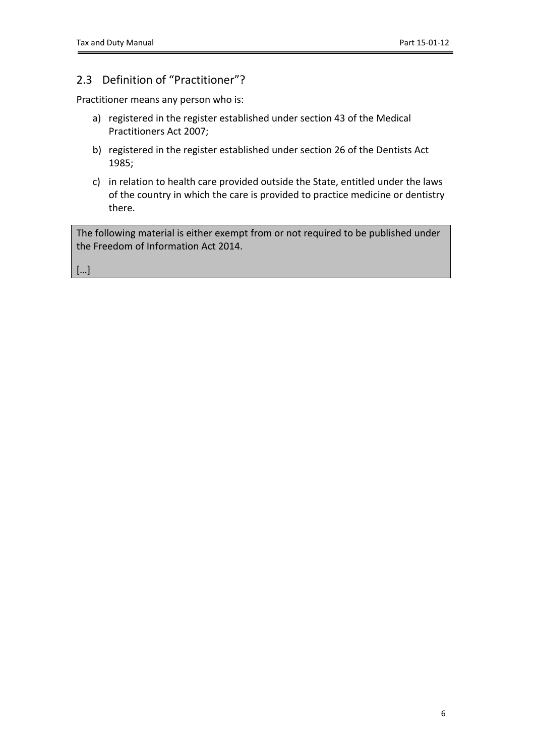## <span id="page-5-0"></span>2.3 Definition of "Practitioner"?

Practitioner means any person who is:

- a) registered in the register established under section 43 of the Medical Practitioners Act 2007;
- b) registered in the register established under section 26 of the Dentists Act 1985;
- c) in relation to health care provided outside the State, entitled under the laws of the country in which the care is provided to practice medicine or dentistry there.

The following material is either exempt from or not required to be published under the Freedom of Information Act 2014.

[…]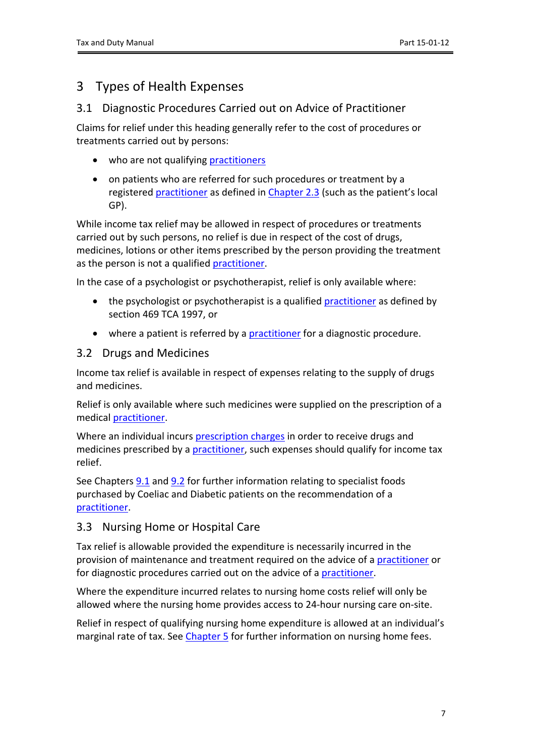# <span id="page-6-0"></span>3 Types of Health Expenses

### <span id="page-6-1"></span>3.1 Diagnostic Procedures Carried out on Advice of Practitioner

Claims for relief under this heading generally refer to the cost of procedures or treatments carried out by persons:

- who are not qualifying [practitioners](#page-4-1)
- on patients who are referred for such procedures or treatment by a registered [practitioner](#page-4-1) as defined in [Chapter](#page-4-1) [2.3](#page-4-1) (such as the patient's local GP).

While income tax relief may be allowed in respect of procedures or treatments carried out by such persons, no relief is due in respect of the cost of drugs, medicines, lotions or other items prescribed by the person providing the treatment as the person is not a qualified [practitioner.](#page-4-1)

In the case of a psychologist or psychotherapist, relief is only available where:

- the psychologist or psychotherapist is a qualified [practitioner](#page-4-1) as defined by section 469 TCA 1997, or
- where a patient is referred by a [practitioner](#page-4-1) for a diagnostic procedure.

### <span id="page-6-2"></span>3.2 Drugs and Medicines

Income tax relief is available in respect of expenses relating to the supply of drugs and medicines.

Relief is only available where such medicines were supplied on the prescription of a medical [practitioner.](#page-4-1)

Where an individual incurs [prescription](https://www2.hse.ie/services/medical-cards/prescription-charges-for-medical-card-holders.html) [charges](https://www2.hse.ie/services/medical-cards/prescription-charges-for-medical-card-holders.html) in order to receive drugs and medicines prescribed by a [practitioner](#page-4-1), such expenses should qualify for income tax relief.

See Chapters [9.1](#page-21-1) and [9.2](#page-21-2) for further information relating to specialist foods purchased by Coeliac and Diabetic patients on the recommendation of a [practitioner.](#page-4-1)

## <span id="page-6-3"></span>3.3 Nursing Home or Hospital Care

Tax relief is allowable provided the expenditure is necessarily incurred in the provision of maintenance and treatment required on the advice of a [practitioner](#page-4-1) or for diagnostic procedures carried out on the advice of a [practitioner.](#page-4-1)

Where the expenditure incurred relates to nursing home costs relief will only be allowed where the nursing home provides access to 24-hour nursing care on-site.

Relief in respect of qualifying nursing home expenditure is allowed at an individual's marginal rate of tax. See [Chapter](#page-12-3) [5](#page-12-3) for further information on nursing home fees.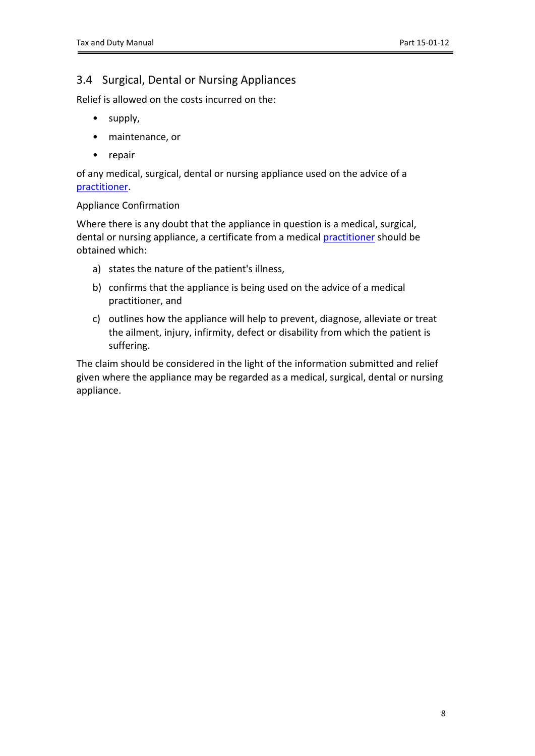## <span id="page-7-0"></span>3.4 Surgical, Dental or Nursing Appliances

Relief is allowed on the costs incurred on the:

- supply,
- maintenance, or
- repair

of any medical, surgical, dental or nursing appliance used on the advice of a [practitioner.](#page-4-1)

### Appliance Confirmation

Where there is any doubt that the appliance in question is a medical, surgical, dental or nursing appliance, a certificate from a medical [practitioner](#page-4-1) should be obtained which:

- a) states the nature of the patient's illness,
- b) confirms that the appliance is being used on the advice of a medical practitioner, and
- c) outlines how the appliance will help to prevent, diagnose, alleviate or treat the ailment, injury, infirmity, defect or disability from which the patient is suffering.

The claim should be considered in the light of the information submitted and relief given where the appliance may be regarded as a medical, surgical, dental or nursing appliance.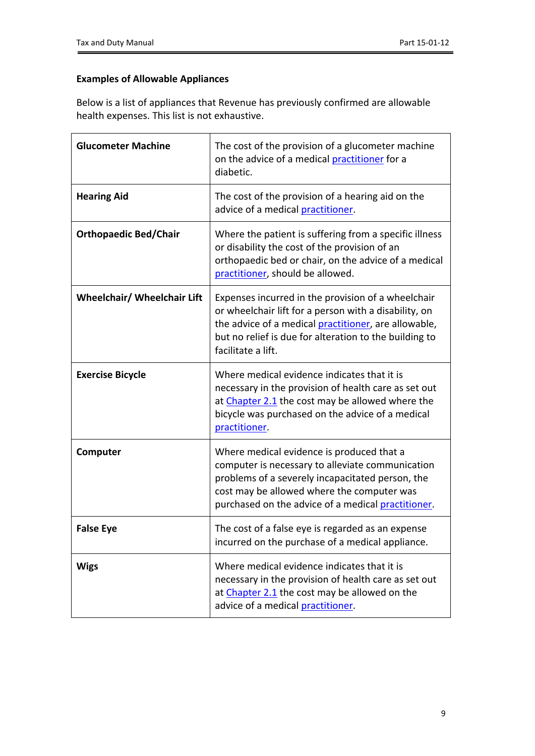## **Examples of Allowable Appliances**

Below is a list of appliances that Revenue has previously confirmed are allowable health expenses. This list is not exhaustive.

| <b>Glucometer Machine</b>          | The cost of the provision of a glucometer machine<br>on the advice of a medical practitioner for a<br>diabetic.                                                                                                                                             |  |  |  |
|------------------------------------|-------------------------------------------------------------------------------------------------------------------------------------------------------------------------------------------------------------------------------------------------------------|--|--|--|
| <b>Hearing Aid</b>                 | The cost of the provision of a hearing aid on the<br>advice of a medical practitioner.                                                                                                                                                                      |  |  |  |
| <b>Orthopaedic Bed/Chair</b>       | Where the patient is suffering from a specific illness<br>or disability the cost of the provision of an<br>orthopaedic bed or chair, on the advice of a medical<br>practitioner, should be allowed.                                                         |  |  |  |
| <b>Wheelchair/ Wheelchair Lift</b> | Expenses incurred in the provision of a wheelchair<br>or wheelchair lift for a person with a disability, on<br>the advice of a medical <i>practitioner</i> , are allowable,<br>but no relief is due for alteration to the building to<br>facilitate a lift. |  |  |  |
| <b>Exercise Bicycle</b>            | Where medical evidence indicates that it is<br>necessary in the provision of health care as set out<br>at Chapter 2.1 the cost may be allowed where the<br>bicycle was purchased on the advice of a medical<br>practitioner.                                |  |  |  |
| Computer                           | Where medical evidence is produced that a<br>computer is necessary to alleviate communication<br>problems of a severely incapacitated person, the<br>cost may be allowed where the computer was<br>purchased on the advice of a medical practitioner.       |  |  |  |
| <b>False Eye</b>                   | The cost of a false eye is regarded as an expense<br>incurred on the purchase of a medical appliance.                                                                                                                                                       |  |  |  |
| <b>Wigs</b>                        | Where medical evidence indicates that it is<br>necessary in the provision of health care as set out<br>at Chapter 2.1 the cost may be allowed on the<br>advice of a medical practitioner.                                                                   |  |  |  |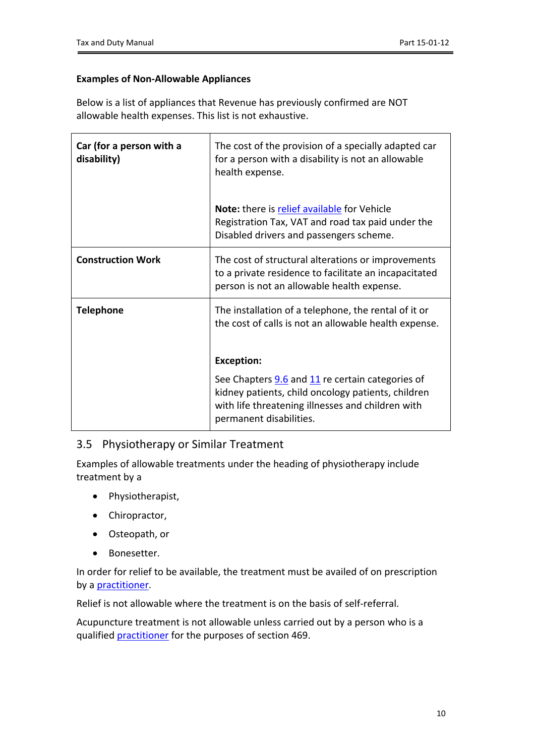### **Examples of Non-Allowable Appliances**

Below is a list of appliances that Revenue has previously confirmed are NOT allowable health expenses. This list is not exhaustive.

| Car (for a person with a<br>disability) | The cost of the provision of a specially adapted car<br>for a person with a disability is not an allowable<br>health expense.                                                          |  |  |
|-----------------------------------------|----------------------------------------------------------------------------------------------------------------------------------------------------------------------------------------|--|--|
|                                         | <b>Note:</b> there is relief available for Vehicle<br>Registration Tax, VAT and road tax paid under the<br>Disabled drivers and passengers scheme.                                     |  |  |
| <b>Construction Work</b>                | The cost of structural alterations or improvements<br>to a private residence to facilitate an incapacitated<br>person is not an allowable health expense.                              |  |  |
| <b>Telephone</b>                        | The installation of a telephone, the rental of it or<br>the cost of calls is not an allowable health expense.                                                                          |  |  |
|                                         | <b>Exception:</b>                                                                                                                                                                      |  |  |
|                                         | See Chapters 9.6 and 11 re certain categories of<br>kidney patients, child oncology patients, children<br>with life threatening illnesses and children with<br>permanent disabilities. |  |  |

## <span id="page-9-0"></span>3.5 Physiotherapy or Similar Treatment

Examples of allowable treatments under the heading of physiotherapy include treatment by a

- Physiotherapist,
- Chiropractor,
- Osteopath, or
- Bonesetter.

In order for relief to be available, the treatment must be availed of on prescription by a [practitioner.](#page-4-1)

Relief is not allowable where the treatment is on the basis of self-referral.

Acupuncture treatment is not allowable unless carried out by a person who is a qualified [practitioner](#page-4-1) for the purposes of section 469.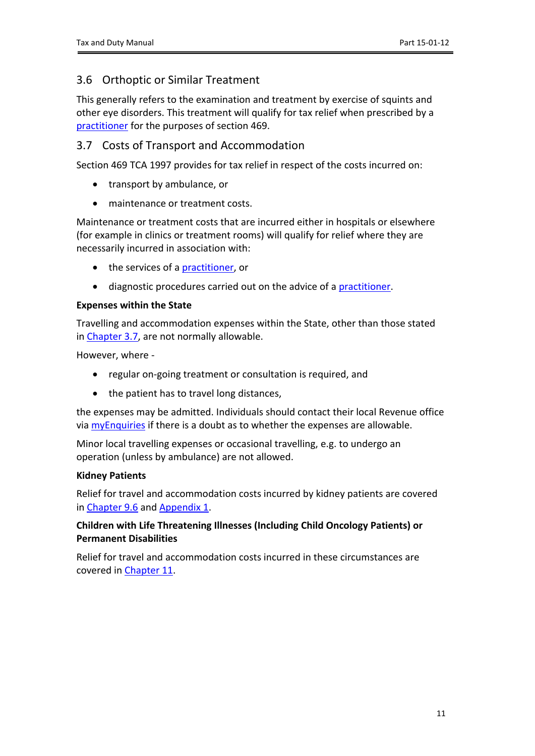# <span id="page-10-0"></span>3.6 Orthoptic or Similar Treatment

This generally refers to the examination and treatment by exercise of squints and other eye disorders. This treatment will qualify for tax relief when prescribed by a [practitioner](#page-4-1) for the purposes of section 469.

## <span id="page-10-1"></span>3.7 Costs of Transport and Accommodation

Section 469 TCA 1997 provides for tax relief in respect of the costs incurred on:

- transport by ambulance, or
- maintenance or treatment costs.

Maintenance or treatment costs that are incurred either in hospitals or elsewhere (for example in clinics or treatment rooms) will qualify for relief where they are necessarily incurred in association with:

- the services of a [practitioner](#page-4-1), or
- diagnostic procedures carried out on the advice of a [practitioner.](#page-4-1)

### **Expenses within the State**

Travelling and accommodation expenses within the State, other than those stated in [Chapter](#page-10-1) [3.7,](#page-10-1) are not normally allowable.

However, where -

- regular on-going treatment or consultation is required, and
- the patient has to travel long distances,

the expenses may be admitted. Individuals should contact their local Revenue office via [myEnquiries](https://www.revenue.ie/en/online-services/services/manage-your-record/myenquiries.aspx) if there is a doubt as to whether the expenses are allowable.

Minor local travelling expenses or occasional travelling, e.g. to undergo an operation (unless by ambulance) are not allowed.

### **Kidney Patients**

Relief for travel and accommodation costs incurred by kidney patients are covered in [Chapter](#page-23-1) [9.6](#page-23-1) and [Appendix](#page-29-0) [1](#page-29-0).

### **Children with Life Threatening Illnesses (Including Child Oncology Patients) or Permanent Disabilities**

Relief for travel and accommodation costs incurred in these circumstances are covered in [Chapter](#page-25-3) [11.](#page-25-3)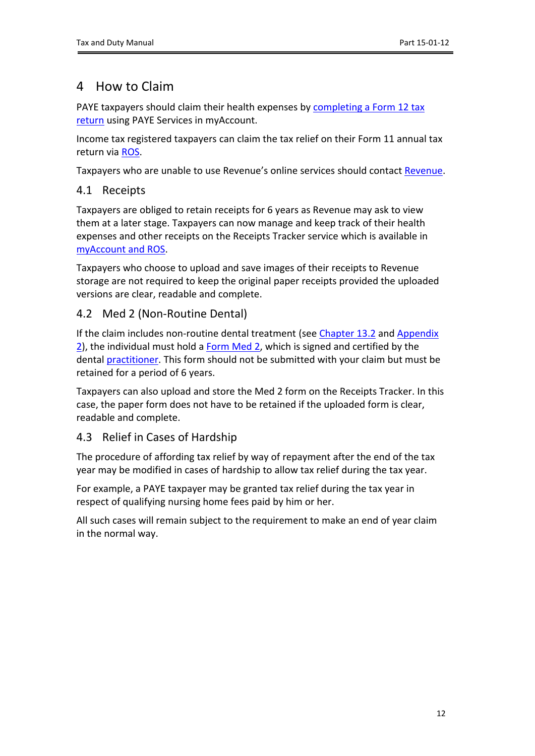# <span id="page-11-0"></span>4 How to Claim

PAYE taxpayers should claim their health expenses by [completing](https://www.revenue.ie/en/online-services/services/paye-services/file-an-income-tax-return-paye-customers.aspx) [a](https://www.revenue.ie/en/online-services/services/paye-services/file-an-income-tax-return-paye-customers.aspx) [Form](https://www.revenue.ie/en/online-services/services/paye-services/file-an-income-tax-return-paye-customers.aspx) [12](https://www.revenue.ie/en/online-services/services/paye-services/file-an-income-tax-return-paye-customers.aspx) [tax](https://www.revenue.ie/en/online-services/services/paye-services/file-an-income-tax-return-paye-customers.aspx) [return](https://www.revenue.ie/en/online-services/services/paye-services/file-an-income-tax-return-paye-customers.aspx) using PAYE Services in myAccount.

Income tax registered taxpayers can claim the tax relief on their Form 11 annual tax return via [ROS](https://www.revenue.ie/en/online-services/index.aspx).

Taxpayers who are unable to use Revenue's online services should contact [Revenue.](https://www.revenue.ie/en/contact-us/Index.aspx)

## <span id="page-11-1"></span>4.1 Receipts

Taxpayers are obliged to retain receipts for 6 years as Revenue may ask to view them at a later stage. Taxpayers can now manage and keep track of their health expenses and other receipts on the Receipts Tracker service which is available in [myAccount](https://www.revenue.ie/en/online-services/index.aspx) [and](https://www.revenue.ie/en/online-services/index.aspx) [ROS.](https://www.revenue.ie/en/online-services/index.aspx)

Taxpayers who choose to upload and save images of their receipts to Revenue storage are not required to keep the original paper receipts provided the uploaded versions are clear, readable and complete.

## <span id="page-11-2"></span>4.2 Med 2 (Non-Routine Dental)

If the claim includes non-routine dental treatment (see [Chapter](#page-28-2) [13.2](#page-28-2) and [Appendix](#page-31-1) [2](https://www.revenue.ie/en/personal-tax-credits-reliefs-and-exemptions/documents/med2.pdf)), the individual must hold a [Form](https://www.revenue.ie/en/personal-tax-credits-reliefs-and-exemptions/documents/med2.pdf) [Med](https://www.revenue.ie/en/personal-tax-credits-reliefs-and-exemptions/documents/med2.pdf) 2, which is signed and certified by the dental [practitioner.](#page-4-1) This form should not be submitted with your claim but must be retained for a period of 6 years.

Taxpayers can also upload and store the Med 2 form on the Receipts Tracker. In this case, the paper form does not have to be retained if the uploaded form is clear, readable and complete.

## <span id="page-11-3"></span>4.3 Relief in Cases of Hardship

The procedure of affording tax relief by way of repayment after the end of the tax year may be modified in cases of hardship to allow tax relief during the tax year.

For example, a PAYE taxpayer may be granted tax relief during the tax year in respect of qualifying nursing home fees paid by him or her.

All such cases will remain subject to the requirement to make an end of year claim in the normal way.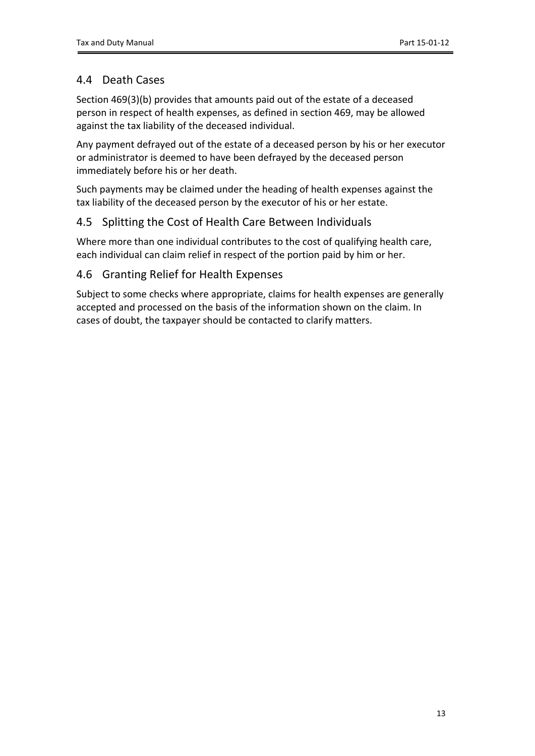# <span id="page-12-0"></span>4.4 Death Cases

Section 469(3)(b) provides that amounts paid out of the estate of a deceased person in respect of health expenses, as defined in section 469, may be allowed against the tax liability of the deceased individual.

Any payment defrayed out of the estate of a deceased person by his or her executor or administrator is deemed to have been defrayed by the deceased person immediately before his or her death.

Such payments may be claimed under the heading of health expenses against the tax liability of the deceased person by the executor of his or her estate.

## <span id="page-12-1"></span>4.5 Splitting the Cost of Health Care Between Individuals

Where more than one individual contributes to the cost of qualifying health care, each individual can claim relief in respect of the portion paid by him or her.

## <span id="page-12-2"></span>4.6 Granting Relief for Health Expenses

<span id="page-12-3"></span>Subject to some checks where appropriate, claims for health expenses are generally accepted and processed on the basis of the information shown on the claim. In cases of doubt, the taxpayer should be contacted to clarify matters.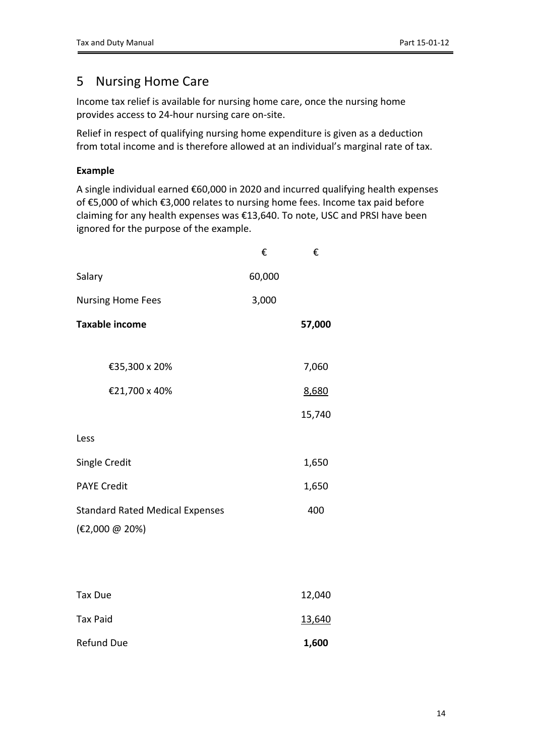# <span id="page-13-0"></span>5 Nursing Home Care

Income tax relief is available for nursing home care, once the nursing home provides access to 24-hour nursing care on-site.

Relief in respect of qualifying nursing home expenditure is given as a deduction from total income and is therefore allowed at an individual's marginal rate of tax.

### **Example**

A single individual earned €60,000 in 2020 and incurred qualifying health expenses of €5,000 of which €3,000 relates to nursing home fees. Income tax paid before claiming for any health expenses was €13,640. To note, USC and PRSI have been ignored for the purpose of the example.

|                                        | €      | €      |
|----------------------------------------|--------|--------|
| Salary                                 | 60,000 |        |
| <b>Nursing Home Fees</b>               | 3,000  |        |
| <b>Taxable income</b>                  |        | 57,000 |
|                                        |        |        |
| €35,300 x 20%                          |        | 7,060  |
| €21,700 x 40%                          |        | 8,680  |
|                                        |        | 15,740 |
| Less                                   |        |        |
| Single Credit                          |        | 1,650  |
| <b>PAYE Credit</b>                     |        | 1,650  |
| <b>Standard Rated Medical Expenses</b> |        | 400    |
| (€2,000 @ 20%)                         |        |        |
|                                        |        |        |
|                                        |        |        |
| <b>Tax Due</b>                         |        | 12,040 |
| <b>Tax Paid</b>                        |        | 13,640 |

Refund Due **1,600**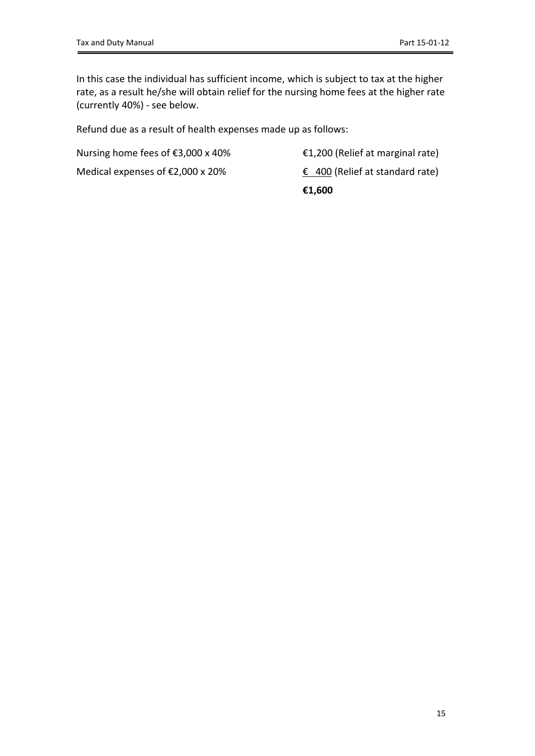In this case the individual has sufficient income, which is subject to tax at the higher rate, as a result he/she will obtain relief for the nursing home fees at the higher rate (currently 40%) - see below.

Refund due as a result of health expenses made up as follows:

Nursing home fees of  $\epsilon$ 3,000 x 40%  $\epsilon$ 1,200 (Relief at marginal rate)

Medical expenses of  $\epsilon$ 2,000 x 20%  $\epsilon$  400 (Relief at standard rate)

**€1,600**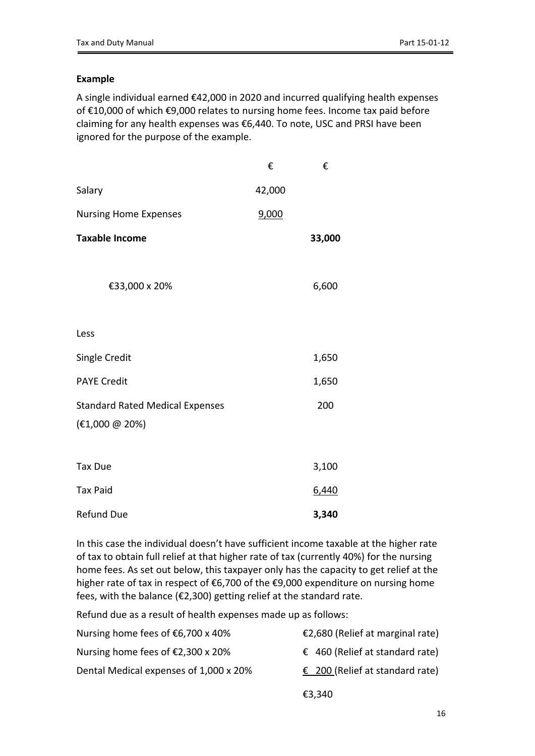### **Example**

A single individual earned €42,000 in 2020 and incurred qualifying health expenses of €10,000 of which €9,000 relates to nursing home fees. Income tax paid before claiming for any health expenses was €6,440. To note, USC and PRSI have been ignored for the purpose of the example.

|                                        | €      | €      |
|----------------------------------------|--------|--------|
| Salary                                 | 42,000 |        |
| <b>Nursing Home Expenses</b>           | 9,000  |        |
| <b>Taxable Income</b>                  |        | 33,000 |
|                                        |        |        |
| €33,000 x 20%                          |        | 6,600  |
|                                        |        |        |
| Less                                   |        |        |
| <b>Single Credit</b>                   |        | 1,650  |
| <b>PAYE Credit</b>                     |        | 1,650  |
| <b>Standard Rated Medical Expenses</b> |        | 200    |
| (€1,000 @ 20%)                         |        |        |
|                                        |        |        |
| <b>Tax Due</b>                         |        | 3,100  |
| <b>Tax Paid</b>                        |        | 6,440  |
| <b>Refund Due</b>                      |        | 3,340  |

In this case the individual doesn't have sufficient income taxable at the higher rate of tax to obtain full relief at that higher rate of tax (currently 40%) for the nursing home fees. As set out below, this taxpayer only has the capacity to get relief at the higher rate of tax in respect of €6,700 of the €9,000 expenditure on nursing home fees, with the balance (€2,300) getting relief at the standard rate.

Refund due as a result of health expenses made up as follows:

| Nursing home fees of $€6,700 \times 40\%$ | €2,680 (Relief at marginal rate)         |
|-------------------------------------------|------------------------------------------|
| Nursing home fees of $E2,300 \times 20\%$ | € 460 (Relief at standard rate)          |
| Dental Medical expenses of 1,000 x 20%    | $\epsilon$ 200 (Relief at standard rate) |
|                                           | €3,340                                   |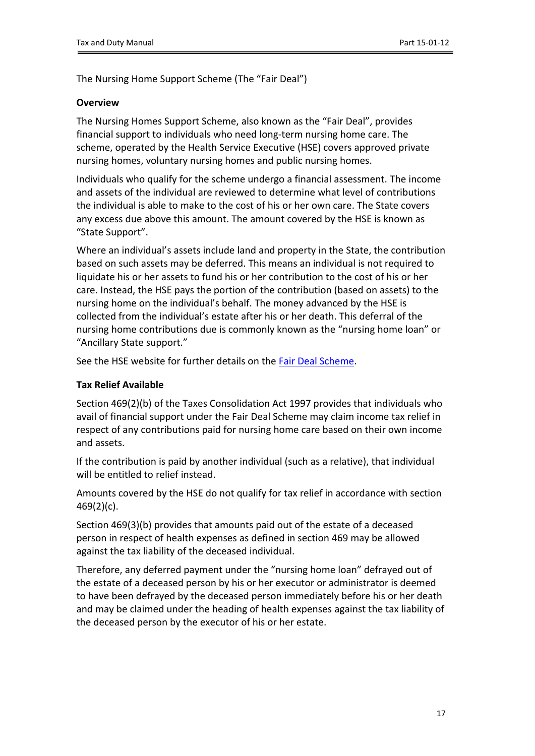The Nursing Home Support Scheme (The "Fair Deal")

#### **Overview**

The Nursing Homes Support Scheme, also known as the "Fair Deal", provides financial support to individuals who need long-term nursing home care. The scheme, operated by the Health Service Executive (HSE) covers approved private nursing homes, voluntary nursing homes and public nursing homes.

Individuals who qualify for the scheme undergo a financial assessment. The income and assets of the individual are reviewed to determine what level of contributions the individual is able to make to the cost of his or her own care. The State covers any excess due above this amount. The amount covered by the HSE is known as "State Support".

Where an individual's assets include land and property in the State, the contribution based on such assets may be deferred. This means an individual is not required to liquidate his or her assets to fund his or her contribution to the cost of his or her care. Instead, the HSE pays the portion of the contribution (based on assets) to the nursing home on the individual's behalf. The money advanced by the HSE is collected from the individual's estate after his or her death. This deferral of the nursing home contributions due is commonly known as the "nursing home loan" or "Ancillary State support."

See the HSE website for further details on the [Fair](https://www2.hse.ie/services/fair-deal-scheme/about-the-fair-deal-scheme.html) [Deal](https://www2.hse.ie/services/fair-deal-scheme/about-the-fair-deal-scheme.html) [Scheme](https://www2.hse.ie/services/fair-deal-scheme/about-the-fair-deal-scheme.html).

#### **Tax Relief Available**

Section 469(2)(b) of the Taxes Consolidation Act 1997 provides that individuals who avail of financial support under the Fair Deal Scheme may claim income tax relief in respect of any contributions paid for nursing home care based on their own income and assets.

If the contribution is paid by another individual (such as a relative), that individual will be entitled to relief instead.

Amounts covered by the HSE do not qualify for tax relief in accordance with section 469(2)(c).

Section 469(3)(b) provides that amounts paid out of the estate of a deceased person in respect of health expenses as defined in section 469 may be allowed against the tax liability of the deceased individual.

Therefore, any deferred payment under the "nursing home loan" defrayed out of the estate of a deceased person by his or her executor or administrator is deemed to have been defrayed by the deceased person immediately before his or her death and may be claimed under the heading of health expenses against the tax liability of the deceased person by the executor of his or her estate.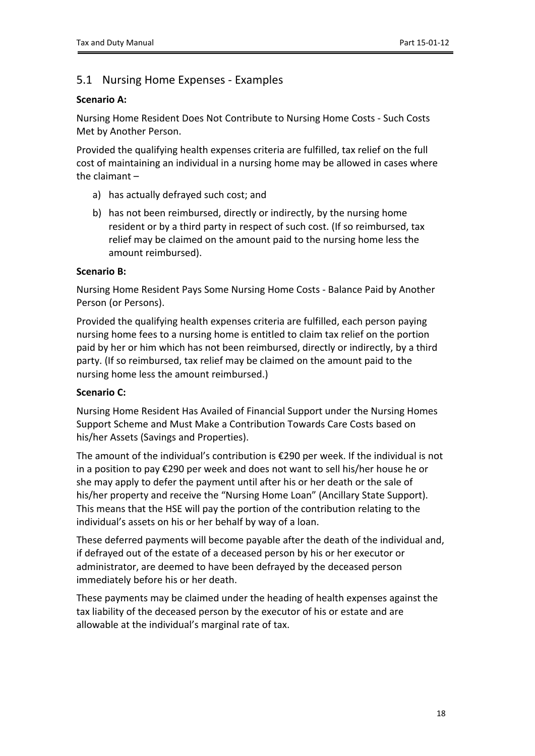## <span id="page-17-0"></span>5.1 Nursing Home Expenses - Examples

### **Scenario A:**

Nursing Home Resident Does Not Contribute to Nursing Home Costs - Such Costs Met by Another Person.

Provided the qualifying health expenses criteria are fulfilled, tax relief on the full cost of maintaining an individual in a nursing home may be allowed in cases where the claimant –

- a) has actually defrayed such cost; and
- b) has not been reimbursed, directly or indirectly, by the nursing home resident or by a third party in respect of such cost. (If so reimbursed, tax relief may be claimed on the amount paid to the nursing home less the amount reimbursed).

### **Scenario B:**

Nursing Home Resident Pays Some Nursing Home Costs - Balance Paid by Another Person (or Persons).

Provided the qualifying health expenses criteria are fulfilled, each person paying nursing home fees to a nursing home is entitled to claim tax relief on the portion paid by her or him which has not been reimbursed, directly or indirectly, by a third party. (If so reimbursed, tax relief may be claimed on the amount paid to the nursing home less the amount reimbursed.)

### **Scenario C:**

Nursing Home Resident Has Availed of Financial Support under the Nursing Homes Support Scheme and Must Make a Contribution Towards Care Costs based on his/her Assets (Savings and Properties).

The amount of the individual's contribution is €290 per week. If the individual is not in a position to pay €290 per week and does not want to sell his/her house he or she may apply to defer the payment until after his or her death or the sale of his/her property and receive the "Nursing Home Loan" (Ancillary State Support). This means that the HSE will pay the portion of the contribution relating to the individual's assets on his or her behalf by way of a loan.

These deferred payments will become payable after the death of the individual and, if defrayed out of the estate of a deceased person by his or her executor or administrator, are deemed to have been defrayed by the deceased person immediately before his or her death.

These payments may be claimed under the heading of health expenses against the tax liability of the deceased person by the executor of his or estate and are allowable at the individual's marginal rate of tax.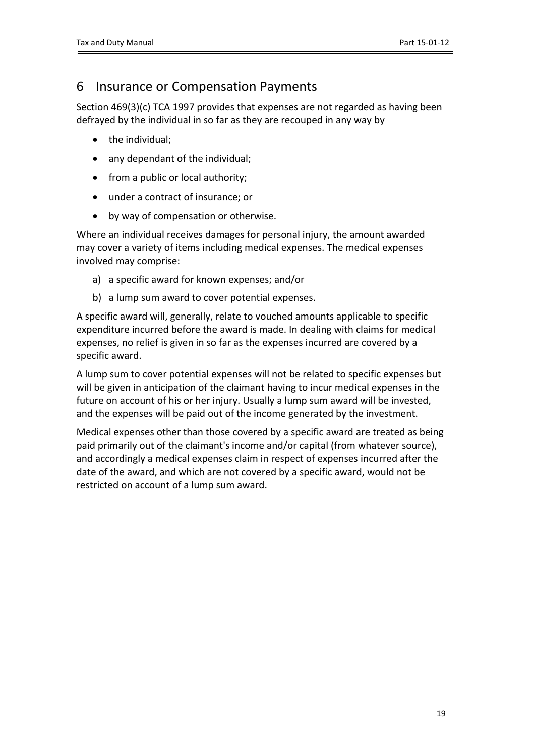# <span id="page-18-0"></span>6 Insurance or Compensation Payments

Section 469(3)(c) TCA 1997 provides that expenses are not regarded as having been defrayed by the individual in so far as they are recouped in any way by

- the individual:
- any dependant of the individual;
- from a public or local authority;
- under a contract of insurance; or
- by way of compensation or otherwise.

Where an individual receives damages for personal injury, the amount awarded may cover a variety of items including medical expenses. The medical expenses involved may comprise:

- a) a specific award for known expenses; and/or
- b) a lump sum award to cover potential expenses.

A specific award will, generally, relate to vouched amounts applicable to specific expenditure incurred before the award is made. In dealing with claims for medical expenses, no relief is given in so far as the expenses incurred are covered by a specific award.

A lump sum to cover potential expenses will not be related to specific expenses but will be given in anticipation of the claimant having to incur medical expenses in the future on account of his or her injury. Usually a lump sum award will be invested, and the expenses will be paid out of the income generated by the investment.

Medical expenses other than those covered by a specific award are treated as being paid primarily out of the claimant's income and/or capital (from whatever source), and accordingly a medical expenses claim in respect of expenses incurred after the date of the award, and which are not covered by a specific award, would not be restricted on account of a lump sum award.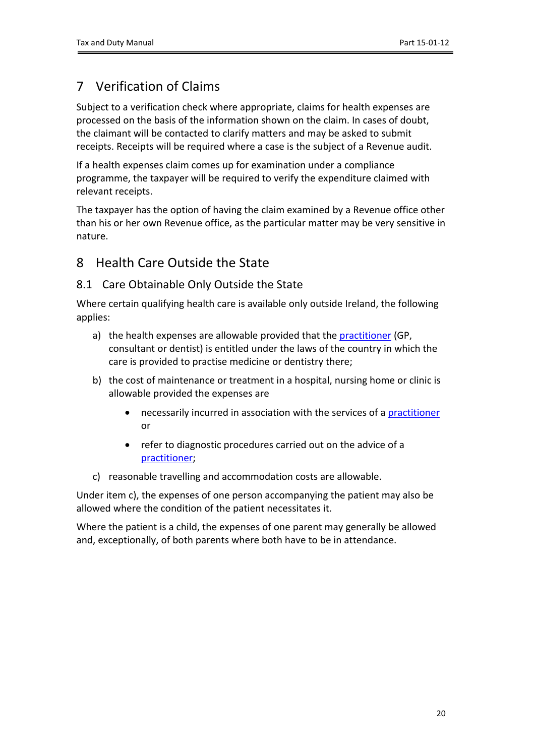# <span id="page-19-0"></span>7 Verification of Claims

Subject to a verification check where appropriate, claims for health expenses are processed on the basis of the information shown on the claim. In cases of doubt, the claimant will be contacted to clarify matters and may be asked to submit receipts. Receipts will be required where a case is the subject of a Revenue audit.

If a health expenses claim comes up for examination under a compliance programme, the taxpayer will be required to verify the expenditure claimed with relevant receipts.

The taxpayer has the option of having the claim examined by a Revenue office other than his or her own Revenue office, as the particular matter may be very sensitive in nature.

## <span id="page-19-1"></span>8 Health Care Outside the State

## <span id="page-19-2"></span>8.1 Care Obtainable Only Outside the State

Where certain qualifying health care is available only outside Ireland, the following applies:

- a) the health expenses are allowable provided that the [practitioner](#page-4-1) (GP, consultant or dentist) is entitled under the laws of the country in which the care is provided to practise medicine or dentistry there;
- b) the cost of maintenance or treatment in a hospital, nursing home or clinic is allowable provided the expenses are
	- necessarily incurred in association with the services of a [practitioner](#page-4-1) or
	- refer to diagnostic procedures carried out on the advice of a [practitioner;](#page-4-1)
- c) reasonable travelling and accommodation costs are allowable.

Under item c), the expenses of one person accompanying the patient may also be allowed where the condition of the patient necessitates it.

Where the patient is a child, the expenses of one parent may generally be allowed and, exceptionally, of both parents where both have to be in attendance.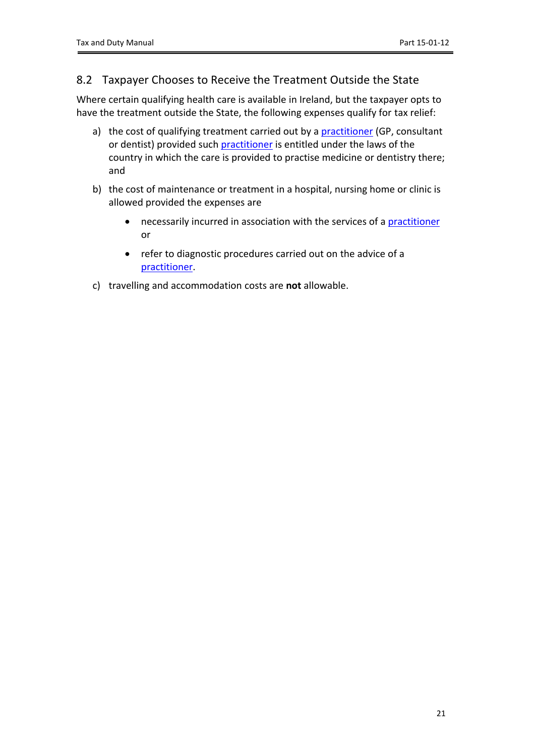## <span id="page-20-0"></span>8.2 Taxpayer Chooses to Receive the Treatment Outside the State

Where certain qualifying health care is available in Ireland, but the taxpayer opts to have the treatment outside the State, the following expenses qualify for tax relief:

- a) the cost of qualifying treatment carried out by a [practitioner](#page-4-1) (GP, consultant or dentist) provided such [practitioner](#page-4-1) is entitled under the laws of the country in which the care is provided to practise medicine or dentistry there; and
- b) the cost of maintenance or treatment in a hospital, nursing home or clinic is allowed provided the expenses are
	- necessarily incurred in association with the services of a [practitioner](#page-4-1) or
	- refer to diagnostic procedures carried out on the advice of a [practitioner.](#page-4-1)
- c) travelling and accommodation costs are **not** allowable.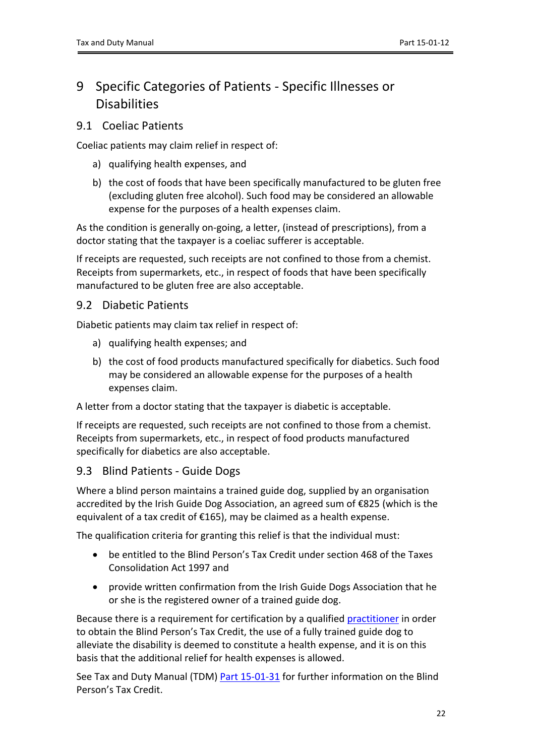# <span id="page-21-0"></span>9 Specific Categories of Patients - Specific Illnesses or **Disabilities**

### <span id="page-21-1"></span>9.1 Coeliac Patients

Coeliac patients may claim relief in respect of:

- a) qualifying health expenses, and
- b) the cost of foods that have been specifically manufactured to be gluten free (excluding gluten free alcohol). Such food may be considered an allowable expense for the purposes of a health expenses claim.

As the condition is generally on-going, a letter, (instead of prescriptions), from a doctor stating that the taxpayer is a coeliac sufferer is acceptable.

If receipts are requested, such receipts are not confined to those from a chemist. Receipts from supermarkets, etc., in respect of foods that have been specifically manufactured to be gluten free are also acceptable.

### <span id="page-21-2"></span>9.2 Diabetic Patients

Diabetic patients may claim tax relief in respect of:

- a) qualifying health expenses; and
- b) the cost of food products manufactured specifically for diabetics. Such food may be considered an allowable expense for the purposes of a health expenses claim.

A letter from a doctor stating that the taxpayer is diabetic is acceptable.

If receipts are requested, such receipts are not confined to those from a chemist. Receipts from supermarkets, etc., in respect of food products manufactured specifically for diabetics are also acceptable.

## <span id="page-21-3"></span>9.3 Blind Patients - Guide Dogs

Where a blind person maintains a trained guide dog, supplied by an organisation accredited by the Irish Guide Dog Association, an agreed sum of €825 (which is the equivalent of a tax credit of €165), may be claimed as a health expense.

The qualification criteria for granting this relief is that the individual must:

- be entitled to the Blind Person's Tax Credit under section 468 of the Taxes Consolidation Act 1997 and
- provide written confirmation from the Irish Guide Dogs Association that he or she is the registered owner of a trained guide dog.

Because there is a requirement for certification by a qualified [practitioner](#page-4-1) in order to obtain the Blind Person's Tax Credit, the use of a fully trained guide dog to alleviate the disability is deemed to constitute a health expense, and it is on this basis that the additional relief for health expenses is allowed.

See Tax and Duty Manual (TDM) [Part](https://www.revenue.ie/en/tax-professionals/tdm/income-tax-capital-gains-tax-corporation-tax/part-15/15-01-31.pdf) [15-01-31](https://www.revenue.ie/en/tax-professionals/tdm/income-tax-capital-gains-tax-corporation-tax/part-15/15-01-31.pdf) for further information on the Blind Person's Tax Credit.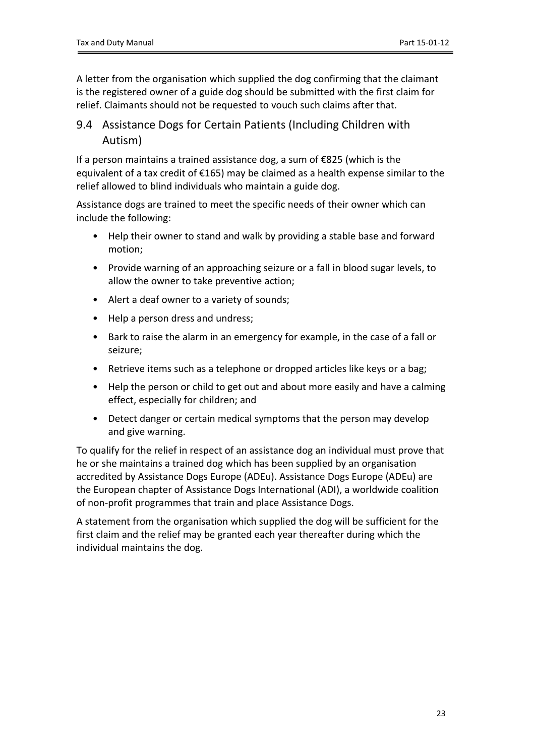A letter from the organisation which supplied the dog confirming that the claimant is the registered owner of a guide dog should be submitted with the first claim for relief. Claimants should not be requested to vouch such claims after that.

## <span id="page-22-0"></span>9.4 Assistance Dogs for Certain Patients (Including Children with Autism)

If a person maintains a trained assistance dog, a sum of €825 (which is the equivalent of a tax credit of €165) may be claimed as a health expense similar to the relief allowed to blind individuals who maintain a guide dog.

Assistance dogs are trained to meet the specific needs of their owner which can include the following:

- Help their owner to stand and walk by providing a stable base and forward motion;
- Provide warning of an approaching seizure or a fall in blood sugar levels, to allow the owner to take preventive action;
- Alert a deaf owner to a variety of sounds;
- Help a person dress and undress;
- Bark to raise the alarm in an emergency for example, in the case of a fall or seizure;
- Retrieve items such as a telephone or dropped articles like keys or a bag;
- Help the person or child to get out and about more easily and have a calming effect, especially for children; and
- Detect danger or certain medical symptoms that the person may develop and give warning.

To qualify for the relief in respect of an assistance dog an individual must prove that he or she maintains a trained dog which has been supplied by an organisation accredited by Assistance Dogs Europe (ADEu). Assistance Dogs Europe (ADEu) are the European chapter of Assistance Dogs International (ADI), a worldwide coalition of non-profit programmes that train and place Assistance Dogs.

A statement from the organisation which supplied the dog will be sufficient for the first claim and the relief may be granted each year thereafter during which the individual maintains the dog.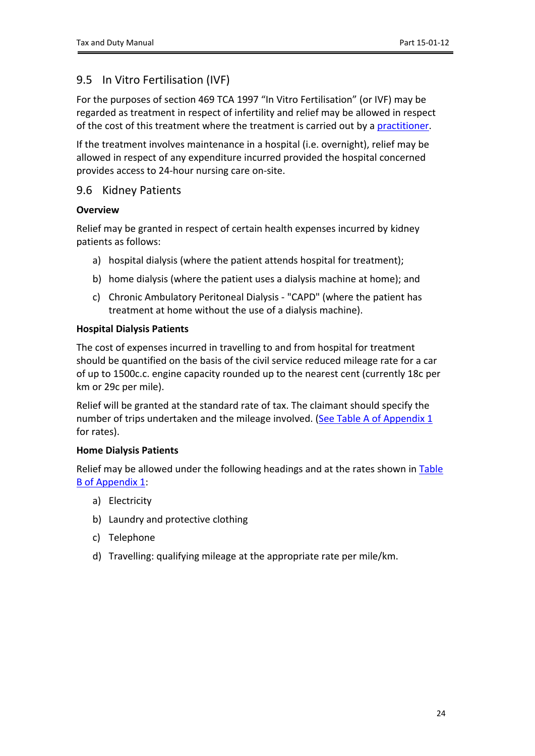## <span id="page-23-0"></span>9.5 In Vitro Fertilisation (IVF)

For the purposes of section 469 TCA 1997 "In Vitro Fertilisation" (or IVF) may be regarded as treatment in respect of infertility and relief may be allowed in respect of the cost of this treatment where the treatment is carried out by a [practitioner.](#page-4-1)

If the treatment involves maintenance in a hospital (i.e. overnight), relief may be allowed in respect of any expenditure incurred provided the hospital concerned provides access to 24-hour nursing care on-site.

### <span id="page-23-1"></span>9.6 Kidney Patients

### **Overview**

Relief may be granted in respect of certain health expenses incurred by kidney patients as follows:

- a) hospital dialysis (where the patient attends hospital for treatment);
- b) home dialysis (where the patient uses a dialysis machine at home); and
- c) Chronic Ambulatory Peritoneal Dialysis "CAPD" (where the patient has treatment at home without the use of a dialysis machine).

#### **Hospital Dialysis Patients**

The cost of expenses incurred in travelling to and from hospital for treatment should be quantified on the basis of the civil service reduced mileage rate for a car of up to 1500c.c. engine capacity rounded up to the nearest cent (currently 18c per km or 29c per mile).

Relief will be granted at the standard rate of tax. The claimant should specify the number of trips undertaken and the mileage involved. ([See](#page-30-1) [Table](#page-30-1) [A](#page-30-1) [of](#page-30-1) [Appendix](#page-30-1) [1](#page-30-1) for rates).

#### **Home Dialysis Patients**

Relief may be allowed under the following headings and at the rates shown in [Table](#page-30-2) [B](#page-30-2) [of](#page-30-2) [Appendix](#page-30-2) [1:](#page-30-2)

- a) Electricity
- b) Laundry and protective clothing
- c) Telephone
- d) Travelling: qualifying mileage at the appropriate rate per mile/km.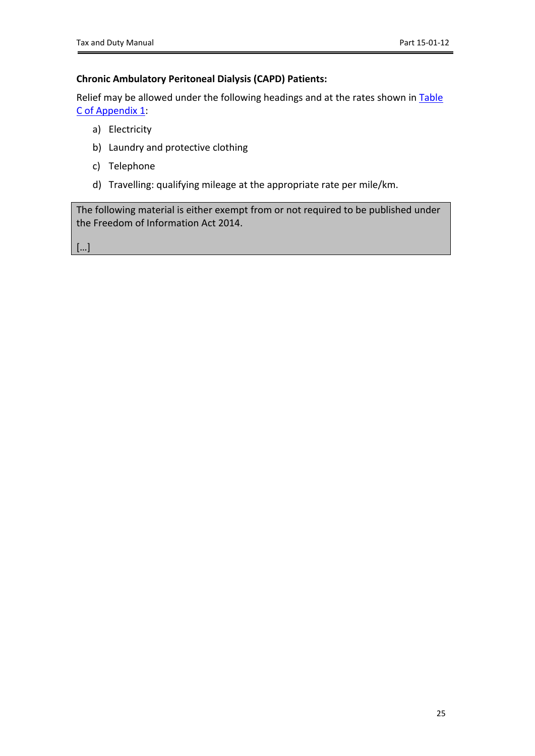### **Chronic Ambulatory Peritoneal Dialysis (CAPD) Patients:**

Relief may be allowed under the following headings and at the rates shown in [Table](#page-30-3) [C](#page-30-3) [of](#page-30-3) [Appendix](#page-30-3) [1:](#page-30-3)

- a) Electricity
- b) Laundry and protective clothing
- c) Telephone
- d) Travelling: qualifying mileage at the appropriate rate per mile/km.

The following material is either exempt from or not required to be published under the Freedom of Information Act 2014.

[…]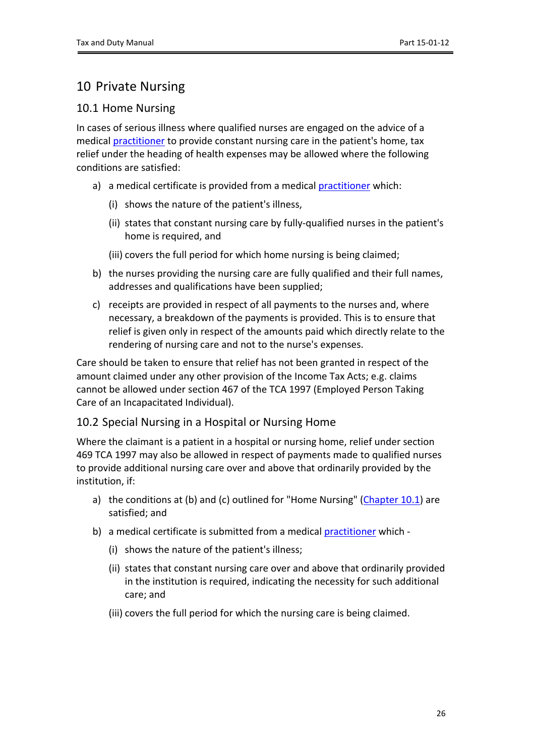# <span id="page-25-0"></span>10 Private Nursing

### <span id="page-25-1"></span>10.1 Home Nursing

In cases of serious illness where qualified nurses are engaged on the advice of a medical [practitioner](#page-4-1) to provide constant nursing care in the patient's home, tax relief under the heading of health expenses may be allowed where the following conditions are satisfied:

- a) a medical certificate is provided from a medical [practitioner](#page-4-1) which:
	- (i) shows the nature of the patient's illness,
	- (ii) states that constant nursing care by fully-qualified nurses in the patient's home is required, and
	- (iii) covers the full period for which home nursing is being claimed;
- b) the nurses providing the nursing care are fully qualified and their full names, addresses and qualifications have been supplied;
- c) receipts are provided in respect of all payments to the nurses and, where necessary, a breakdown of the payments is provided. This is to ensure that relief is given only in respect of the amounts paid which directly relate to the rendering of nursing care and not to the nurse's expenses.

Care should be taken to ensure that relief has not been granted in respect of the amount claimed under any other provision of the Income Tax Acts; e.g. claims cannot be allowed under section 467 of the TCA 1997 (Employed Person Taking Care of an Incapacitated Individual).

## <span id="page-25-2"></span>10.2 Special Nursing in a Hospital or Nursing Home

Where the claimant is a patient in a hospital or nursing home, relief under section 469 TCA 1997 may also be allowed in respect of payments made to qualified nurses to provide additional nursing care over and above that ordinarily provided by the institution, if:

- a) the conditions at (b) and (c) outlined for "Home Nursing" ([Chapter](#page-25-1) [10.1](#page-25-1)) are satisfied; and
- <span id="page-25-3"></span>b) a medical certificate is submitted from a medical [practitioner](#page-4-1) which -
	- (i) shows the nature of the patient's illness;
	- (ii) states that constant nursing care over and above that ordinarily provided in the institution is required, indicating the necessity for such additional care; and
	- (iii) covers the full period for which the nursing care is being claimed.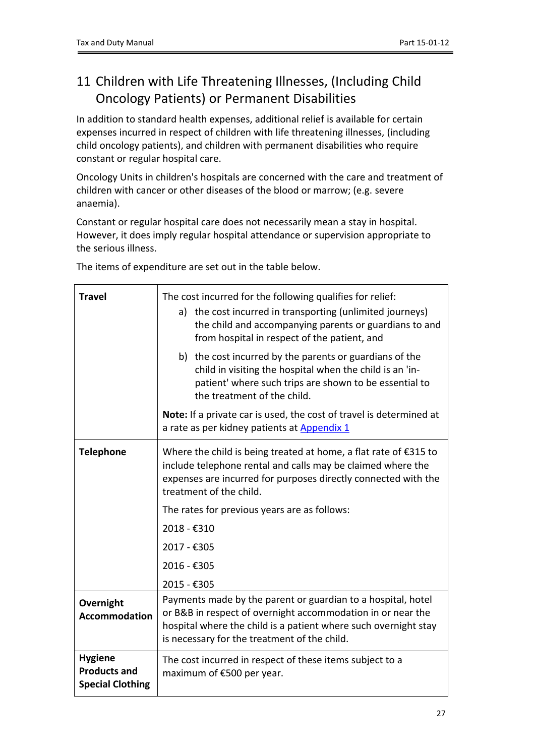# <span id="page-26-0"></span>11 Children with Life Threatening Illnesses, (Including Child Oncology Patients) or Permanent Disabilities

In addition to standard health expenses, additional relief is available for certain expenses incurred in respect of children with life threatening illnesses, (including child oncology patients), and children with permanent disabilities who require constant or regular hospital care.

Oncology Units in children's hospitals are concerned with the care and treatment of children with cancer or other diseases of the blood or marrow; (e.g. severe anaemia).

Constant or regular hospital care does not necessarily mean a stay in hospital. However, it does imply regular hospital attendance or supervision appropriate to the serious illness.

**Travel** The cost incurred for the following qualifies for relief: a) the cost incurred in transporting (unlimited journeys) the child and accompanying parents or guardians to and from hospital in respect of the patient, and b) the cost incurred by the parents or guardians of the child in visiting the hospital when the child is an 'inpatient' where such trips are shown to be essential to the treatment of the child. **Note:** If a private car is used, the cost of travel is determined at a rate as per kidney patients at [Appendix](#page-29-0) [1](#page-29-0) **Telephone** Where the child is being treated at home, a flat rate of €315 to include telephone rental and calls may be claimed where the expenses are incurred for purposes directly connected with the treatment of the child. The rates for previous years are as follows: 2018 - €310 2017 - €305 2016 - €305 2015 - €305 **Overnight Accommodation** Payments made by the parent or guardian to a hospital, hotel or B&B in respect of overnight accommodation in or near the hospital where the child is a patient where such overnight stay is necessary for the treatment of the child. **Hygiene Products and Special Clothing** The cost incurred in respect of these items subject to a maximum of €500 per year.

The items of expenditure are set out in the table below.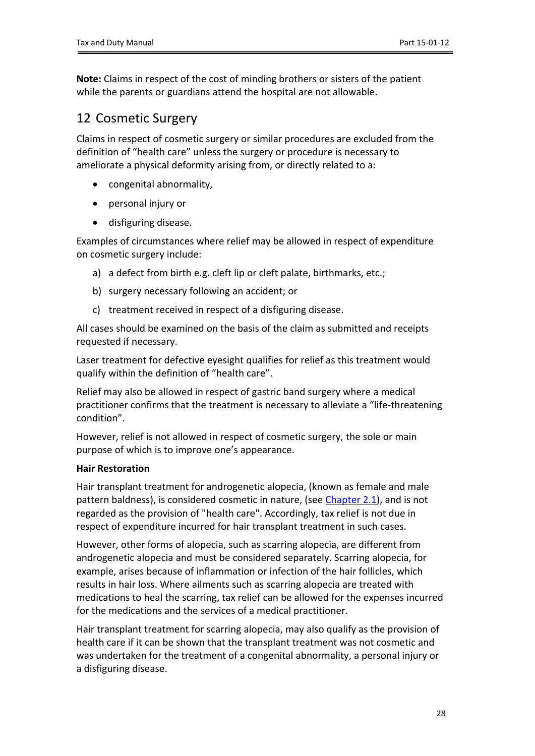**Note:** Claims in respect of the cost of minding brothers or sisters of the patient while the parents or guardians attend the hospital are not allowable.

## <span id="page-27-0"></span>12 Cosmetic Surgery

Claims in respect of cosmetic surgery or similar procedures are excluded from the definition of "health care" unless the surgery or procedure is necessary to ameliorate a physical deformity arising from, or directly related to a:

- congenital abnormality,
- personal injury or
- disfiguring disease.

Examples of circumstances where relief may be allowed in respect of expenditure on cosmetic surgery include:

- a) a defect from birth e.g. cleft lip or cleft palate, birthmarks, etc.;
- b) surgery necessary following an accident; or
- c) treatment received in respect of a disfiguring disease.

All cases should be examined on the basis of the claim as submitted and receipts requested if necessary.

Laser treatment for defective eyesight qualifies for relief as this treatment would qualify within the definition of "health care".

Relief may also be allowed in respect of gastric band surgery where a medical practitioner confirms that the treatment is necessary to alleviate a "life-threatening condition".

However, relief is not allowed in respect of cosmetic surgery, the sole or main purpose of which is to improve one's appearance.

### **Hair Restoration**

Hair transplant treatment for androgenetic alopecia, (known as female and male pattern baldness), is considered cosmetic in nature, (see [Chapter](#page-3-2) [2.1](#page-3-2)), and is not regarded as the provision of "health care". Accordingly, tax relief is not due in respect of expenditure incurred for hair transplant treatment in such cases.

However, other forms of alopecia, such as scarring alopecia, are different from androgenetic alopecia and must be considered separately. Scarring alopecia, for example, arises because of inflammation or infection of the hair follicles, which results in hair loss. Where ailments such as scarring alopecia are treated with medications to heal the scarring, tax relief can be allowed for the expenses incurred for the medications and the services of a medical practitioner.

Hair transplant treatment for scarring alopecia, may also qualify as the provision of health care if it can be shown that the transplant treatment was not cosmetic and was undertaken for the treatment of a congenital abnormality, a personal injury or a disfiguring disease.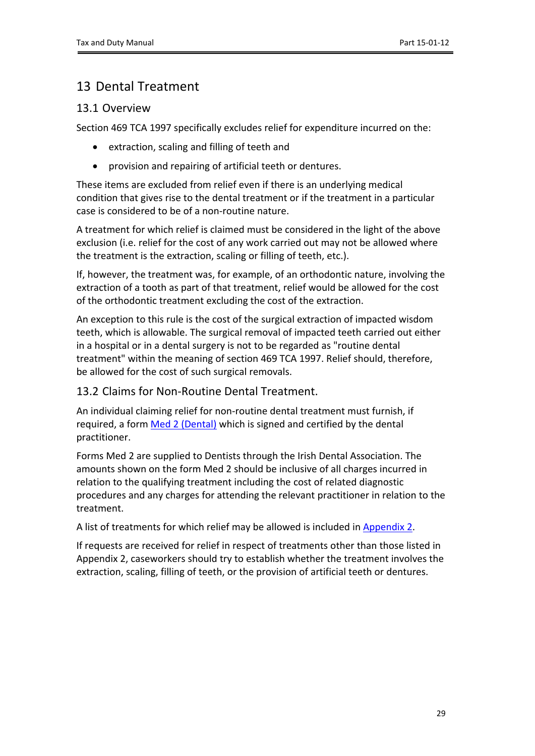# <span id="page-28-0"></span>13 Dental Treatment

### <span id="page-28-1"></span>13.1 Overview

Section 469 TCA 1997 specifically excludes relief for expenditure incurred on the:

- extraction, scaling and filling of teeth and
- provision and repairing of artificial teeth or dentures.

These items are excluded from relief even if there is an underlying medical condition that gives rise to the dental treatment or if the treatment in a particular case is considered to be of a non-routine nature.

A treatment for which relief is claimed must be considered in the light of the above exclusion (i.e. relief for the cost of any work carried out may not be allowed where the treatment is the extraction, scaling or filling of teeth, etc.).

If, however, the treatment was, for example, of an orthodontic nature, involving the extraction of a tooth as part of that treatment, relief would be allowed for the cost of the orthodontic treatment excluding the cost of the extraction.

An exception to this rule is the cost of the surgical extraction of impacted wisdom teeth, which is allowable. The surgical removal of impacted teeth carried out either in a hospital or in a dental surgery is not to be regarded as "routine dental treatment" within the meaning of section 469 TCA 1997. Relief should, therefore, be allowed for the cost of such surgical removals.

### <span id="page-28-2"></span>13.2 Claims for Non-Routine Dental Treatment.

An individual claiming relief for non-routine dental treatment must furnish, if required, a form [Med](https://www.revenue.ie/en/personal-tax-credits-reliefs-and-exemptions/documents/med2.pdf) [2](https://www.revenue.ie/en/personal-tax-credits-reliefs-and-exemptions/documents/med2.pdf) [\(Dental\)](https://www.revenue.ie/en/personal-tax-credits-reliefs-and-exemptions/documents/med2.pdf) which is signed and certified by the dental practitioner.

Forms Med 2 are supplied to Dentists through the Irish Dental Association. The amounts shown on the form Med 2 should be inclusive of all charges incurred in relation to the qualifying treatment including the cost of related diagnostic procedures and any charges for attending the relevant practitioner in relation to the treatment.

A list of treatments for which relief may be allowed is included in [Appendix](#page-31-1) [2](#page-31-1).

If requests are received for relief in respect of treatments other than those listed in Appendix 2, caseworkers should try to establish whether the treatment involves the extraction, scaling, filling of teeth, or the provision of artificial teeth or dentures.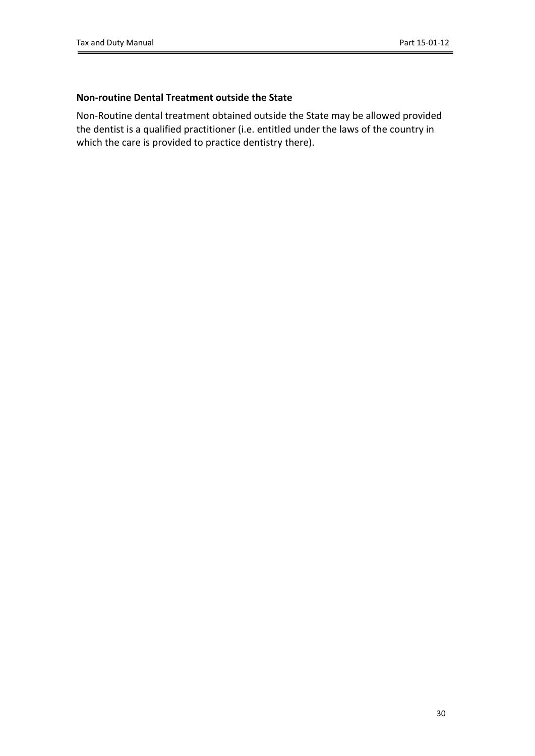### **Non-routine Dental Treatment outside the State**

<span id="page-29-0"></span>Non-Routine dental treatment obtained outside the State may be allowed provided the dentist is a qualified practitioner (i.e. entitled under the laws of the country in which the care is provided to practice dentistry there).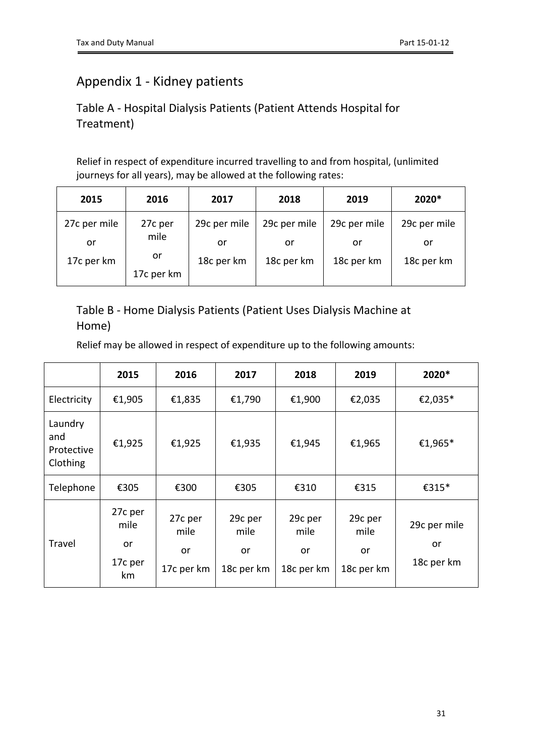# <span id="page-30-0"></span>Appendix 1 - Kidney patients

# <span id="page-30-1"></span>Table A - Hospital Dialysis Patients (Patient Attends Hospital for Treatment)

Relief in respect of expenditure incurred travelling to and from hospital, (unlimited journeys for all years), may be allowed at the following rates:

| 2015         | 2016       | 2017         | 2018         | 2019         | 2020*        |
|--------------|------------|--------------|--------------|--------------|--------------|
| 27c per mile | 27c per    | 29c per mile | 29c per mile | 29c per mile | 29c per mile |
| or           | mile       | or           | or           | or           | or           |
| 17c per km   | or         |              | 18c per km   | 18c per km   | 18c per km   |
|              | 17c per km |              |              |              |              |

## <span id="page-30-2"></span>Table B - Home Dialysis Patients (Patient Uses Dialysis Machine at Home)

Relief may be allowed in respect of expenditure up to the following amounts:

<span id="page-30-3"></span>

|                                          | 2015                                   | 2016                                | 2017                                | 2018                                | 2019                                | 2020*                            |
|------------------------------------------|----------------------------------------|-------------------------------------|-------------------------------------|-------------------------------------|-------------------------------------|----------------------------------|
| Electricity                              | €1,905                                 | €1,835                              | €1,790                              | €1,900                              | €2,035                              | €2,035*                          |
| Laundry<br>and<br>Protective<br>Clothing | €1,925                                 | €1,925                              | €1,935                              | €1,945                              | €1,965                              | €1,965*                          |
| Telephone                                | €305                                   | €300                                | €305                                | €310                                | €315                                | €315*                            |
| Travel                                   | 27c per<br>mile<br>or<br>17c per<br>km | 27c per<br>mile<br>or<br>17c per km | 29c per<br>mile<br>or<br>18c per km | 29c per<br>mile<br>or<br>18c per km | 29c per<br>mile<br>or<br>18c per km | 29c per mile<br>or<br>18c per km |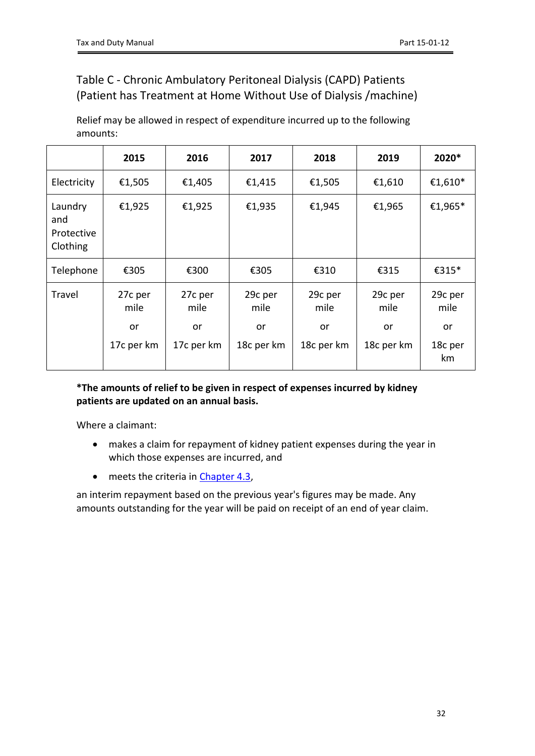# <span id="page-31-0"></span>Table C - Chronic Ambulatory Peritoneal Dialysis (CAPD) Patients (Patient has Treatment at Home Without Use of Dialysis /machine)

Relief may be allowed in respect of expenditure incurred up to the following amounts:

|                                          | 2015             | 2016             | 2017                    | 2018             | 2019             | 2020*               |
|------------------------------------------|------------------|------------------|-------------------------|------------------|------------------|---------------------|
| Electricity                              | €1,505           | €1,405           | €1,415                  | €1,505           | €1,610           | €1,610 <sup>*</sup> |
| Laundry<br>and<br>Protective<br>Clothing | €1,925           | €1,925           | €1,935                  | €1,945           | €1,965           | €1,965*             |
| Telephone                                | €305             | €300             | €305                    | €310             | €315             | €315*               |
| Travel                                   | 27c per<br>mile  | 27c per<br>mile  | 29c per<br>mile         | 29c per<br>mile  | 29c per<br>mile  | 29c per<br>mile     |
|                                          | or<br>17c per km | or<br>17c per km | <b>or</b><br>18c per km | or<br>18c per km | or<br>18c per km | or<br>18c per<br>km |

### **\*The amounts of relief to be given in respect of expenses incurred by kidney patients are updated on an annual basis.**

Where a claimant:

- makes a claim for repayment of kidney patient expenses during the year in which those expenses are incurred, and
- meets the criteria in [Chapter](#page-11-3) [4.3](#page-11-3),

<span id="page-31-1"></span>an interim repayment based on the previous year's figures may be made. Any amounts outstanding for the year will be paid on receipt of an end of year claim.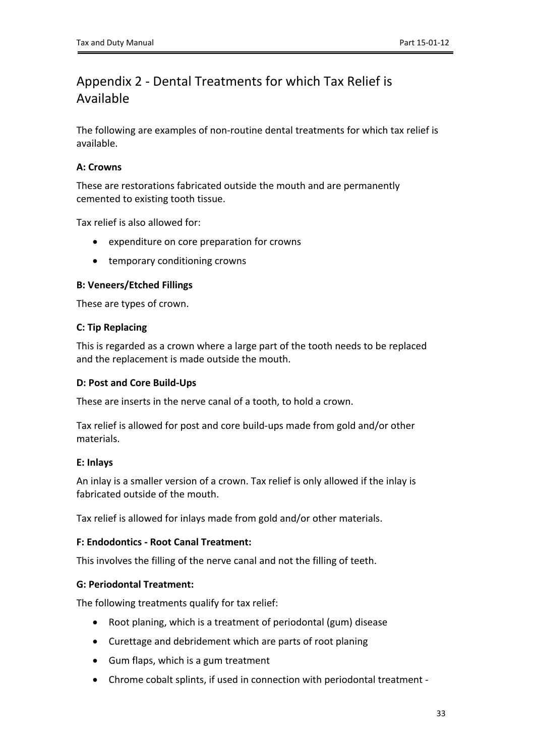# <span id="page-32-0"></span>Appendix 2 - Dental Treatments for which Tax Relief is Available

The following are examples of non-routine dental treatments for which tax relief is available.

### **A: Crowns**

These are restorations fabricated outside the mouth and are permanently cemented to existing tooth tissue.

Tax relief is also allowed for:

- expenditure on core preparation for crowns
- temporary conditioning crowns

### **B: Veneers/Etched Fillings**

These are types of crown.

#### **C: Tip Replacing**

This is regarded as a crown where a large part of the tooth needs to be replaced and the replacement is made outside the mouth.

#### **D: Post and Core Build-Ups**

These are inserts in the nerve canal of a tooth, to hold a crown.

Tax relief is allowed for post and core build-ups made from gold and/or other materials.

### **E: Inlays**

An inlay is a smaller version of a crown. Tax relief is only allowed if the inlay is fabricated outside of the mouth.

Tax relief is allowed for inlays made from gold and/or other materials.

### **F: Endodontics - Root Canal Treatment:**

This involves the filling of the nerve canal and not the filling of teeth.

### **G: Periodontal Treatment:**

The following treatments qualify for tax relief:

- Root planing, which is a treatment of periodontal (gum) disease
- Curettage and debridement which are parts of root planing
- Gum flaps, which is a gum treatment
- Chrome cobalt splints, if used in connection with periodontal treatment -